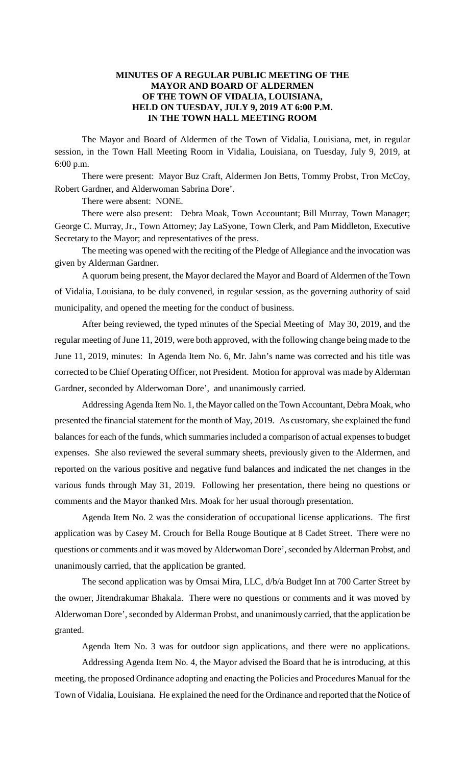### **MINUTES OF A REGULAR PUBLIC MEETING OF THE MAYOR AND BOARD OF ALDERMEN OF THE TOWN OF VIDALIA, LOUISIANA, HELD ON TUESDAY, JULY 9, 2019 AT 6:00 P.M. IN THE TOWN HALL MEETING ROOM**

The Mayor and Board of Aldermen of the Town of Vidalia, Louisiana, met, in regular session, in the Town Hall Meeting Room in Vidalia, Louisiana, on Tuesday, July 9, 2019, at 6:00 p.m.

There were present: Mayor Buz Craft, Aldermen Jon Betts, Tommy Probst, Tron McCoy, Robert Gardner, and Alderwoman Sabrina Dore'.

There were absent: NONE.

There were also present: Debra Moak, Town Accountant; Bill Murray, Town Manager; George C. Murray, Jr., Town Attorney; Jay LaSyone, Town Clerk, and Pam Middleton, Executive Secretary to the Mayor; and representatives of the press.

The meeting was opened with the reciting of the Pledge of Allegiance and the invocation was given by Alderman Gardner.

A quorum being present, the Mayor declared the Mayor and Board of Aldermen of the Town of Vidalia, Louisiana, to be duly convened, in regular session, as the governing authority of said municipality, and opened the meeting for the conduct of business.

After being reviewed, the typed minutes of the Special Meeting of May 30, 2019, and the regular meeting of June 11, 2019, were both approved, with the following change being made to the June 11, 2019, minutes: In Agenda Item No. 6, Mr. Jahn's name was corrected and his title was corrected to be Chief Operating Officer, not President. Motion for approval was made by Alderman Gardner, seconded by Alderwoman Dore', and unanimously carried.

Addressing Agenda Item No. 1, the Mayor called on the Town Accountant, Debra Moak, who presented the financial statement for the month of May, 2019. As customary, she explained the fund balances for each of the funds, which summaries included a comparison of actual expenses to budget expenses. She also reviewed the several summary sheets, previously given to the Aldermen, and reported on the various positive and negative fund balances and indicated the net changes in the various funds through May 31, 2019. Following her presentation, there being no questions or comments and the Mayor thanked Mrs. Moak for her usual thorough presentation.

Agenda Item No. 2 was the consideration of occupational license applications. The first application was by Casey M. Crouch for Bella Rouge Boutique at 8 Cadet Street. There were no questions or comments and it was moved by Alderwoman Dore', seconded by Alderman Probst, and unanimously carried, that the application be granted.

The second application was by Omsai Mira, LLC, d/b/a Budget Inn at 700 Carter Street by the owner, Jitendrakumar Bhakala. There were no questions or comments and it was moved by Alderwoman Dore', seconded by Alderman Probst, and unanimously carried, that the application be granted.

Agenda Item No. 3 was for outdoor sign applications, and there were no applications.

Addressing Agenda Item No. 4, the Mayor advised the Board that he is introducing, at this meeting, the proposed Ordinance adopting and enacting the Policies and Procedures Manual for the Town of Vidalia, Louisiana. He explained the need for the Ordinance and reported that the Notice of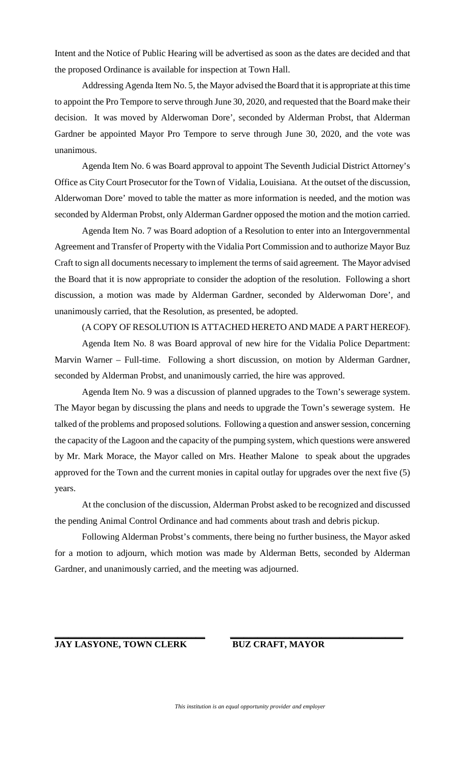Intent and the Notice of Public Hearing will be advertised as soon as the dates are decided and that the proposed Ordinance is available for inspection at Town Hall.

Addressing Agenda Item No. 5, the Mayor advised the Board that it is appropriate at this time to appoint the Pro Tempore to serve through June 30, 2020, and requested that the Board make their decision. It was moved by Alderwoman Dore', seconded by Alderman Probst, that Alderman Gardner be appointed Mayor Pro Tempore to serve through June 30, 2020, and the vote was unanimous.

Agenda Item No. 6 was Board approval to appoint The Seventh Judicial District Attorney's Office as City Court Prosecutor for the Town of Vidalia, Louisiana. At the outset of the discussion, Alderwoman Dore' moved to table the matter as more information is needed, and the motion was seconded by Alderman Probst, only Alderman Gardner opposed the motion and the motion carried.

Agenda Item No. 7 was Board adoption of a Resolution to enter into an Intergovernmental Agreement and Transfer of Property with the Vidalia Port Commission and to authorize Mayor Buz Craft to sign all documents necessary to implement the terms of said agreement. The Mayor advised the Board that it is now appropriate to consider the adoption of the resolution. Following a short discussion, a motion was made by Alderman Gardner, seconded by Alderwoman Dore', and unanimously carried, that the Resolution, as presented, be adopted.

#### (A COPY OF RESOLUTION IS ATTACHED HERETO AND MADE A PART HEREOF).

Agenda Item No. 8 was Board approval of new hire for the Vidalia Police Department: Marvin Warner – Full-time. Following a short discussion, on motion by Alderman Gardner, seconded by Alderman Probst, and unanimously carried, the hire was approved.

Agenda Item No. 9 was a discussion of planned upgrades to the Town's sewerage system. The Mayor began by discussing the plans and needs to upgrade the Town's sewerage system. He talked of the problems and proposed solutions. Following a question and answer session, concerning the capacity of the Lagoon and the capacity of the pumping system, which questions were answered by Mr. Mark Morace, the Mayor called on Mrs. Heather Malone to speak about the upgrades approved for the Town and the current monies in capital outlay for upgrades over the next five (5) years.

At the conclusion of the discussion, Alderman Probst asked to be recognized and discussed the pending Animal Control Ordinance and had comments about trash and debris pickup.

Following Alderman Probst's comments, there being no further business, the Mayor asked for a motion to adjourn, which motion was made by Alderman Betts, seconded by Alderman Gardner, and unanimously carried, and the meeting was adjourned.

# **JAY LASYONE, TOWN CLERK BUZ CRAFT, MAYOR**

**\_\_\_\_\_\_\_\_\_\_\_\_\_\_\_\_\_\_\_\_\_\_\_\_\_\_\_\_\_\_\_\_\_**

**\_\_\_\_\_\_\_\_\_\_\_\_\_\_\_\_\_\_\_\_\_\_\_\_\_\_\_\_\_\_\_\_\_\_\_\_\_\_**